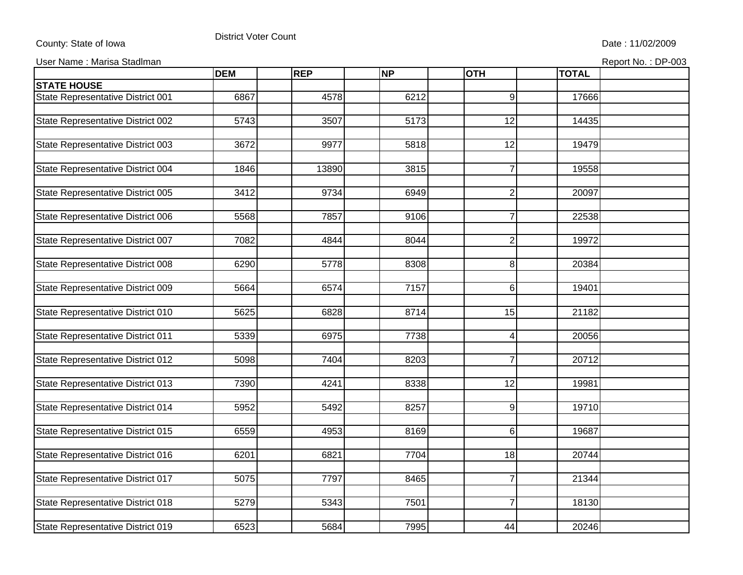## County: State of Iowa **District Voter Count** Destrict Voter Count Date : 11/02/2009

## user Name : Marisa Stadlman et al. (2003) and the set of the set of the set of the set of the set of the set of the Report No. : Report No. : Report No. :

|  |  |  | Report No.: DP-003 |
|--|--|--|--------------------|
|  |  |  |                    |

|                                   | <b>DEM</b> | <b>REP</b>        | <b>NP</b> | <b>OTH</b>      | <b>TOTAL</b> |  |
|-----------------------------------|------------|-------------------|-----------|-----------------|--------------|--|
| <b>STATE HOUSE</b>                |            |                   |           |                 |              |  |
| State Representative District 001 | 6867       | 4578              | 6212      | 9               | 17666        |  |
|                                   |            |                   |           |                 |              |  |
| State Representative District 002 | 5743       | 3507              | 5173      | $\overline{12}$ | 14435        |  |
|                                   |            |                   |           |                 |              |  |
| State Representative District 003 | 3672       | 9977              | 5818      | 12              | 19479        |  |
|                                   |            |                   |           |                 |              |  |
| State Representative District 004 | 1846       | 13890             | 3815      | $\overline{7}$  | 19558        |  |
|                                   |            |                   |           |                 |              |  |
| State Representative District 005 | 3412       | $\overline{97}34$ | 6949      | $\overline{2}$  | 20097        |  |
|                                   |            |                   |           |                 |              |  |
| State Representative District 006 | 5568       | 7857              | 9106      | $\overline{7}$  | 22538        |  |
|                                   |            |                   |           |                 |              |  |
| State Representative District 007 | 7082       | 4844              | 8044      | $\overline{2}$  | 19972        |  |
|                                   |            |                   |           |                 |              |  |
| State Representative District 008 | 6290       | 5778              | 8308      | 8               | 20384        |  |
|                                   |            |                   |           |                 |              |  |
| State Representative District 009 | 5664       | 6574              | 7157      | $6\phantom{1}6$ | 19401        |  |
|                                   |            |                   |           |                 |              |  |
| State Representative District 010 | 5625       | 6828              | 8714      | 15              | 21182        |  |
|                                   |            |                   |           |                 |              |  |
| State Representative District 011 | 5339       | 6975              | 7738      | 4               | 20056        |  |
|                                   |            |                   |           |                 |              |  |
| State Representative District 012 | 5098       | 7404              | 8203      | $\overline{7}$  | 20712        |  |
|                                   |            |                   |           |                 |              |  |
| State Representative District 013 | 7390       | 4241              | 8338      | $\overline{12}$ | 19981        |  |
|                                   |            |                   |           |                 |              |  |
| State Representative District 014 | 5952       | 5492              | 8257      | 9               | 19710        |  |
|                                   |            |                   |           |                 | 19687        |  |
| State Representative District 015 | 6559       | 4953              | 8169      | 6               |              |  |
|                                   | 6201       | 6821              | 7704      | 18              | 20744        |  |
| State Representative District 016 |            |                   |           |                 |              |  |
| State Representative District 017 | 5075       | 7797              | 8465      | $\overline{7}$  | 21344        |  |
|                                   |            |                   |           |                 |              |  |
| State Representative District 018 | 5279       | 5343              | 7501      | $\overline{7}$  | 18130        |  |
|                                   |            |                   |           |                 |              |  |
| State Representative District 019 | 6523       | 5684              | 7995      | 44              | 20246        |  |
|                                   |            |                   |           |                 |              |  |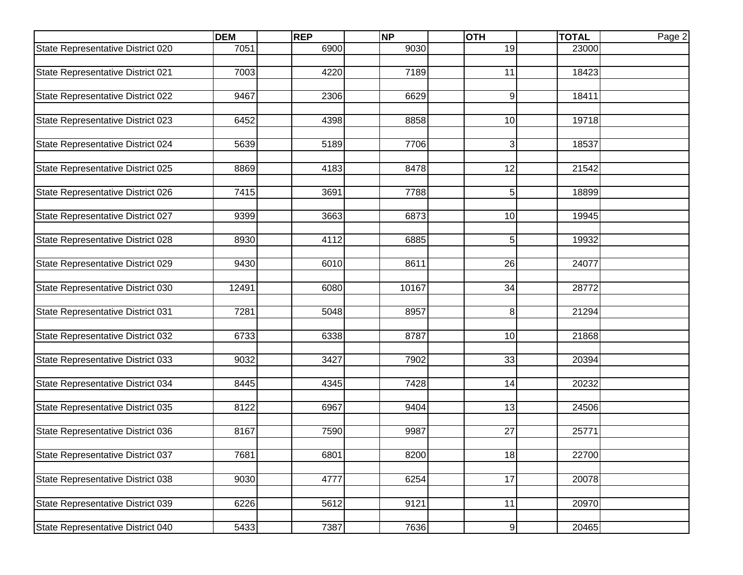|                                          | <b>DEM</b> | <b>REP</b> | <b>NP</b> | <b>OTH</b>       | <b>TOTAL</b> | Page 2 |
|------------------------------------------|------------|------------|-----------|------------------|--------------|--------|
| State Representative District 020        | 7051       | 6900       | 9030      | 19               | 23000        |        |
|                                          |            |            |           |                  |              |        |
| State Representative District 021        | 7003       | 4220       | 7189      | 11               | 18423        |        |
|                                          |            |            |           |                  |              |        |
| State Representative District 022        | 9467       | 2306       | 6629      | 9                | 18411        |        |
|                                          |            |            |           |                  |              |        |
| State Representative District 023        | 6452       | 4398       | 8858      | 10               | 19718        |        |
|                                          |            |            |           |                  |              |        |
| State Representative District 024        | 5639       | 5189       | 7706      | 3                | 18537        |        |
| State Representative District 025        | 8869       | 4183       | 8478      | 12               | 21542        |        |
|                                          |            |            |           |                  |              |        |
| State Representative District 026        | 7415       | 3691       | 7788      | 5                | 18899        |        |
|                                          |            |            |           |                  |              |        |
| State Representative District 027        | 9399       | 3663       | 6873      | 10               | 19945        |        |
|                                          |            |            |           |                  |              |        |
| State Representative District 028        | 8930       | 4112       | 6885      | 5                | 19932        |        |
|                                          |            |            |           |                  |              |        |
| State Representative District 029        | 9430       | 6010       | 8611      | 26               | 24077        |        |
|                                          |            |            |           |                  |              |        |
| State Representative District 030        | 12491      | 6080       | 10167     | 34               | 28772        |        |
|                                          |            |            |           |                  |              |        |
| State Representative District 031        | 7281       | 5048       | 8957      | 8                | 21294        |        |
|                                          |            |            |           |                  |              |        |
| State Representative District 032        | 6733       | 6338       | 8787      | 10               | 21868        |        |
| State Representative District 033        | 9032       | 3427       | 7902      | 33               | 20394        |        |
|                                          |            |            |           |                  |              |        |
| State Representative District 034        | 8445       | 4345       | 7428      | 14               | 20232        |        |
|                                          |            |            |           |                  |              |        |
| State Representative District 035        | 8122       | 6967       | 9404      | 13               | 24506        |        |
|                                          |            |            |           |                  |              |        |
| State Representative District 036        | 8167       | 7590       | 9987      | 27               | 25771        |        |
|                                          |            |            |           |                  |              |        |
| <b>State Representative District 037</b> | 7681       | 6801       | 8200      | 18               | 22700        |        |
|                                          |            |            |           |                  |              |        |
| State Representative District 038        | 9030       | 4777       | 6254      | $\overline{17}$  | 20078        |        |
|                                          |            |            |           |                  |              |        |
| State Representative District 039        | 6226       | 5612       | 9121      | 11               | 20970        |        |
|                                          |            |            |           |                  |              |        |
| State Representative District 040        | 5433       | 7387       | 7636      | $\boldsymbol{9}$ | 20465        |        |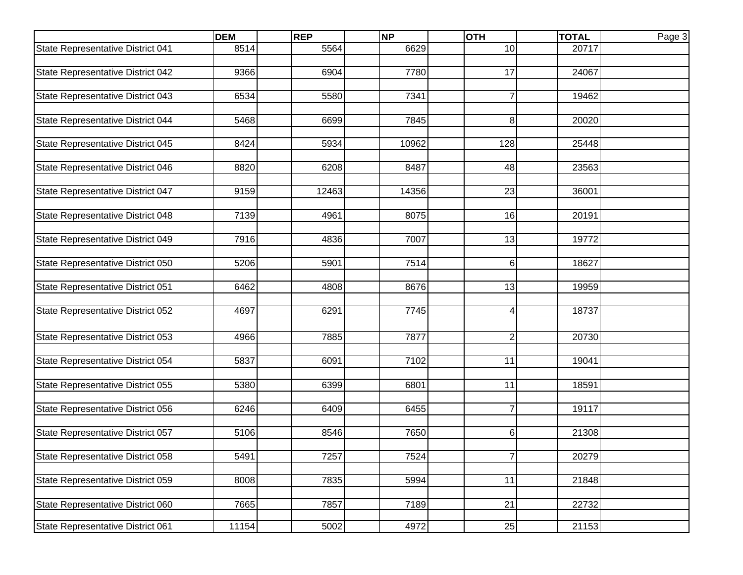|                                   | <b>DEM</b> | <b>REP</b> | <b>NP</b> | <b>OTH</b>     | <b>TOTAL</b> | Page 3 |
|-----------------------------------|------------|------------|-----------|----------------|--------------|--------|
| State Representative District 041 | 8514       | 5564       | 6629      | 10             | 20717        |        |
|                                   |            |            |           |                |              |        |
| State Representative District 042 | 9366       | 6904       | 7780      | 17             | 24067        |        |
|                                   |            |            |           |                |              |        |
| State Representative District 043 | 6534       | 5580       | 7341      | $\overline{7}$ | 19462        |        |
| State Representative District 044 | 5468       | 6699       | 7845      | 8              | 20020        |        |
|                                   |            |            |           |                |              |        |
| State Representative District 045 | 8424       | 5934       | 10962     | 128            | 25448        |        |
|                                   |            |            |           |                |              |        |
| State Representative District 046 | 8820       | 6208       | 8487      | 48             | 23563        |        |
|                                   |            |            |           |                |              |        |
| State Representative District 047 | 9159       | 12463      | 14356     | 23             | 36001        |        |
|                                   |            |            |           |                |              |        |
| State Representative District 048 | 7139       | 4961       | 8075      | 16             | 20191        |        |
|                                   | 7916       | 4836       | 7007      | 13             | 19772        |        |
| State Representative District 049 |            |            |           |                |              |        |
| State Representative District 050 | 5206       | 5901       | 7514      | 6              | 18627        |        |
|                                   |            |            |           |                |              |        |
| State Representative District 051 | 6462       | 4808       | 8676      | 13             | 19959        |        |
|                                   |            |            |           |                |              |        |
| State Representative District 052 | 4697       | 6291       | 7745      | 4              | 18737        |        |
|                                   |            |            |           |                |              |        |
| State Representative District 053 | 4966       | 7885       | 7877      | $\overline{2}$ | 20730        |        |
|                                   |            |            |           |                |              |        |
| State Representative District 054 | 5837       | 6091       | 7102      | 11             | 19041        |        |
|                                   |            |            |           |                |              |        |
| State Representative District 055 | 5380       | 6399       | 6801      | 11             | 18591        |        |
| State Representative District 056 | 6246       | 6409       | 6455      | $\overline{7}$ | 19117        |        |
|                                   |            |            |           |                |              |        |
| State Representative District 057 | 5106       | 8546       | 7650      | 6              | 21308        |        |
|                                   |            |            |           |                |              |        |
| State Representative District 058 | 5491       | 7257       | 7524      | $\overline{7}$ | 20279        |        |
|                                   |            |            |           |                |              |        |
| State Representative District 059 | 8008       | 7835       | 5994      | 11             | 21848        |        |
|                                   |            |            |           |                |              |        |
| State Representative District 060 | 7665       | 7857       | 7189      | 21             | 22732        |        |
| State Representative District 061 | 11154      | 5002       | 4972      | 25             | 21153        |        |
|                                   |            |            |           |                |              |        |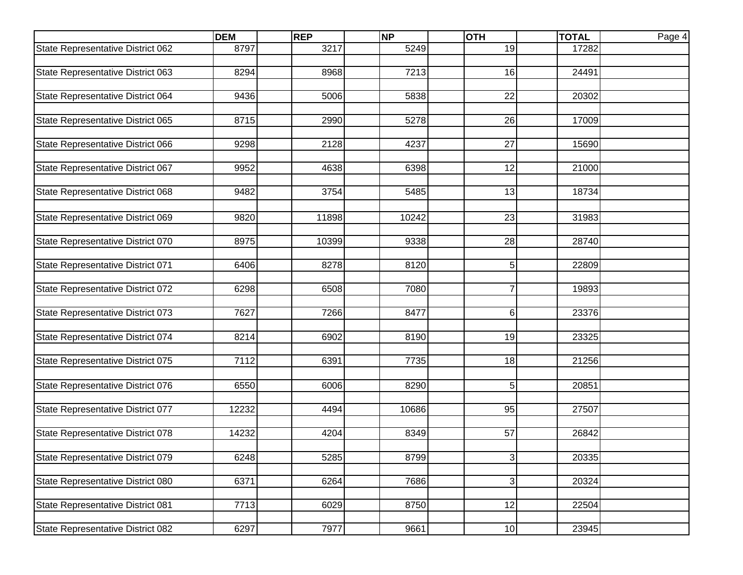| 8797<br>3217<br>5249<br>19<br>State Representative District 062<br>17282<br>State Representative District 063<br>8294<br>7213<br>16<br>24491<br>8968<br>State Representative District 064<br>5838<br>22<br>20302<br>9436<br>5006<br>State Representative District 065<br>8715<br>5278<br>26<br>17009<br>2990<br>State Representative District 066<br>9298<br>2128<br>4237<br>27<br>15690<br>6398<br>12<br>State Representative District 067<br>9952<br>4638<br>21000<br>State Representative District 068<br>5485<br>9482<br>3754<br>13<br>18734<br>23<br>State Representative District 069<br>9820<br>11898<br>10242<br>31983<br>8975<br>10399<br>9338<br>28<br>28740<br>State Representative District 070<br>State Representative District 071<br>8120<br>22809<br>6406<br>8278<br>5<br>State Representative District 072<br>7080<br>$\overline{7}$<br>6298<br>6508<br>19893<br>State Representative District 073<br>7627<br>7266<br>8477<br>6<br>23376<br>State Representative District 074<br>8214<br>8190<br>19<br>23325<br>6902<br>7112<br>State Representative District 075<br>7735<br>18<br>21256<br>6391<br>5<br>State Representative District 076<br>6550<br>6006<br>8290<br>20851<br>27507<br>State Representative District 077<br>12232<br>10686<br>95<br>4494<br>State Representative District 078<br>14232<br>8349<br>57<br>26842<br>4204<br>8799<br>20335<br>State Representative District 079<br>6248<br>5285<br>$\overline{3}$<br>State Representative District 080<br>6371<br>7686<br>$\overline{3}$<br>20324<br>6264<br>12<br>7713<br>6029<br>8750<br>22504<br>State Representative District 081<br>23945 |                                   | <b>DEM</b> | <b>REP</b> | <b>NP</b> | <b>OTH</b> | <b>TOTAL</b> | Page 4 |
|------------------------------------------------------------------------------------------------------------------------------------------------------------------------------------------------------------------------------------------------------------------------------------------------------------------------------------------------------------------------------------------------------------------------------------------------------------------------------------------------------------------------------------------------------------------------------------------------------------------------------------------------------------------------------------------------------------------------------------------------------------------------------------------------------------------------------------------------------------------------------------------------------------------------------------------------------------------------------------------------------------------------------------------------------------------------------------------------------------------------------------------------------------------------------------------------------------------------------------------------------------------------------------------------------------------------------------------------------------------------------------------------------------------------------------------------------------------------------------------------------------------------------------------------------------------------------------------------------------------------------|-----------------------------------|------------|------------|-----------|------------|--------------|--------|
|                                                                                                                                                                                                                                                                                                                                                                                                                                                                                                                                                                                                                                                                                                                                                                                                                                                                                                                                                                                                                                                                                                                                                                                                                                                                                                                                                                                                                                                                                                                                                                                                                              |                                   |            |            |           |            |              |        |
|                                                                                                                                                                                                                                                                                                                                                                                                                                                                                                                                                                                                                                                                                                                                                                                                                                                                                                                                                                                                                                                                                                                                                                                                                                                                                                                                                                                                                                                                                                                                                                                                                              |                                   |            |            |           |            |              |        |
|                                                                                                                                                                                                                                                                                                                                                                                                                                                                                                                                                                                                                                                                                                                                                                                                                                                                                                                                                                                                                                                                                                                                                                                                                                                                                                                                                                                                                                                                                                                                                                                                                              |                                   |            |            |           |            |              |        |
|                                                                                                                                                                                                                                                                                                                                                                                                                                                                                                                                                                                                                                                                                                                                                                                                                                                                                                                                                                                                                                                                                                                                                                                                                                                                                                                                                                                                                                                                                                                                                                                                                              |                                   |            |            |           |            |              |        |
|                                                                                                                                                                                                                                                                                                                                                                                                                                                                                                                                                                                                                                                                                                                                                                                                                                                                                                                                                                                                                                                                                                                                                                                                                                                                                                                                                                                                                                                                                                                                                                                                                              |                                   |            |            |           |            |              |        |
|                                                                                                                                                                                                                                                                                                                                                                                                                                                                                                                                                                                                                                                                                                                                                                                                                                                                                                                                                                                                                                                                                                                                                                                                                                                                                                                                                                                                                                                                                                                                                                                                                              |                                   |            |            |           |            |              |        |
|                                                                                                                                                                                                                                                                                                                                                                                                                                                                                                                                                                                                                                                                                                                                                                                                                                                                                                                                                                                                                                                                                                                                                                                                                                                                                                                                                                                                                                                                                                                                                                                                                              |                                   |            |            |           |            |              |        |
|                                                                                                                                                                                                                                                                                                                                                                                                                                                                                                                                                                                                                                                                                                                                                                                                                                                                                                                                                                                                                                                                                                                                                                                                                                                                                                                                                                                                                                                                                                                                                                                                                              |                                   |            |            |           |            |              |        |
|                                                                                                                                                                                                                                                                                                                                                                                                                                                                                                                                                                                                                                                                                                                                                                                                                                                                                                                                                                                                                                                                                                                                                                                                                                                                                                                                                                                                                                                                                                                                                                                                                              |                                   |            |            |           |            |              |        |
|                                                                                                                                                                                                                                                                                                                                                                                                                                                                                                                                                                                                                                                                                                                                                                                                                                                                                                                                                                                                                                                                                                                                                                                                                                                                                                                                                                                                                                                                                                                                                                                                                              |                                   |            |            |           |            |              |        |
|                                                                                                                                                                                                                                                                                                                                                                                                                                                                                                                                                                                                                                                                                                                                                                                                                                                                                                                                                                                                                                                                                                                                                                                                                                                                                                                                                                                                                                                                                                                                                                                                                              |                                   |            |            |           |            |              |        |
|                                                                                                                                                                                                                                                                                                                                                                                                                                                                                                                                                                                                                                                                                                                                                                                                                                                                                                                                                                                                                                                                                                                                                                                                                                                                                                                                                                                                                                                                                                                                                                                                                              |                                   |            |            |           |            |              |        |
|                                                                                                                                                                                                                                                                                                                                                                                                                                                                                                                                                                                                                                                                                                                                                                                                                                                                                                                                                                                                                                                                                                                                                                                                                                                                                                                                                                                                                                                                                                                                                                                                                              |                                   |            |            |           |            |              |        |
|                                                                                                                                                                                                                                                                                                                                                                                                                                                                                                                                                                                                                                                                                                                                                                                                                                                                                                                                                                                                                                                                                                                                                                                                                                                                                                                                                                                                                                                                                                                                                                                                                              |                                   |            |            |           |            |              |        |
|                                                                                                                                                                                                                                                                                                                                                                                                                                                                                                                                                                                                                                                                                                                                                                                                                                                                                                                                                                                                                                                                                                                                                                                                                                                                                                                                                                                                                                                                                                                                                                                                                              |                                   |            |            |           |            |              |        |
|                                                                                                                                                                                                                                                                                                                                                                                                                                                                                                                                                                                                                                                                                                                                                                                                                                                                                                                                                                                                                                                                                                                                                                                                                                                                                                                                                                                                                                                                                                                                                                                                                              |                                   |            |            |           |            |              |        |
|                                                                                                                                                                                                                                                                                                                                                                                                                                                                                                                                                                                                                                                                                                                                                                                                                                                                                                                                                                                                                                                                                                                                                                                                                                                                                                                                                                                                                                                                                                                                                                                                                              |                                   |            |            |           |            |              |        |
|                                                                                                                                                                                                                                                                                                                                                                                                                                                                                                                                                                                                                                                                                                                                                                                                                                                                                                                                                                                                                                                                                                                                                                                                                                                                                                                                                                                                                                                                                                                                                                                                                              |                                   |            |            |           |            |              |        |
|                                                                                                                                                                                                                                                                                                                                                                                                                                                                                                                                                                                                                                                                                                                                                                                                                                                                                                                                                                                                                                                                                                                                                                                                                                                                                                                                                                                                                                                                                                                                                                                                                              |                                   |            |            |           |            |              |        |
|                                                                                                                                                                                                                                                                                                                                                                                                                                                                                                                                                                                                                                                                                                                                                                                                                                                                                                                                                                                                                                                                                                                                                                                                                                                                                                                                                                                                                                                                                                                                                                                                                              |                                   |            |            |           |            |              |        |
|                                                                                                                                                                                                                                                                                                                                                                                                                                                                                                                                                                                                                                                                                                                                                                                                                                                                                                                                                                                                                                                                                                                                                                                                                                                                                                                                                                                                                                                                                                                                                                                                                              |                                   |            |            |           |            |              |        |
|                                                                                                                                                                                                                                                                                                                                                                                                                                                                                                                                                                                                                                                                                                                                                                                                                                                                                                                                                                                                                                                                                                                                                                                                                                                                                                                                                                                                                                                                                                                                                                                                                              |                                   |            |            |           |            |              |        |
|                                                                                                                                                                                                                                                                                                                                                                                                                                                                                                                                                                                                                                                                                                                                                                                                                                                                                                                                                                                                                                                                                                                                                                                                                                                                                                                                                                                                                                                                                                                                                                                                                              |                                   |            |            |           |            |              |        |
|                                                                                                                                                                                                                                                                                                                                                                                                                                                                                                                                                                                                                                                                                                                                                                                                                                                                                                                                                                                                                                                                                                                                                                                                                                                                                                                                                                                                                                                                                                                                                                                                                              |                                   |            |            |           |            |              |        |
|                                                                                                                                                                                                                                                                                                                                                                                                                                                                                                                                                                                                                                                                                                                                                                                                                                                                                                                                                                                                                                                                                                                                                                                                                                                                                                                                                                                                                                                                                                                                                                                                                              |                                   |            |            |           |            |              |        |
|                                                                                                                                                                                                                                                                                                                                                                                                                                                                                                                                                                                                                                                                                                                                                                                                                                                                                                                                                                                                                                                                                                                                                                                                                                                                                                                                                                                                                                                                                                                                                                                                                              |                                   |            |            |           |            |              |        |
|                                                                                                                                                                                                                                                                                                                                                                                                                                                                                                                                                                                                                                                                                                                                                                                                                                                                                                                                                                                                                                                                                                                                                                                                                                                                                                                                                                                                                                                                                                                                                                                                                              |                                   |            |            |           |            |              |        |
|                                                                                                                                                                                                                                                                                                                                                                                                                                                                                                                                                                                                                                                                                                                                                                                                                                                                                                                                                                                                                                                                                                                                                                                                                                                                                                                                                                                                                                                                                                                                                                                                                              |                                   |            |            |           |            |              |        |
|                                                                                                                                                                                                                                                                                                                                                                                                                                                                                                                                                                                                                                                                                                                                                                                                                                                                                                                                                                                                                                                                                                                                                                                                                                                                                                                                                                                                                                                                                                                                                                                                                              |                                   |            |            |           |            |              |        |
|                                                                                                                                                                                                                                                                                                                                                                                                                                                                                                                                                                                                                                                                                                                                                                                                                                                                                                                                                                                                                                                                                                                                                                                                                                                                                                                                                                                                                                                                                                                                                                                                                              |                                   |            |            |           |            |              |        |
|                                                                                                                                                                                                                                                                                                                                                                                                                                                                                                                                                                                                                                                                                                                                                                                                                                                                                                                                                                                                                                                                                                                                                                                                                                                                                                                                                                                                                                                                                                                                                                                                                              |                                   |            |            |           |            |              |        |
|                                                                                                                                                                                                                                                                                                                                                                                                                                                                                                                                                                                                                                                                                                                                                                                                                                                                                                                                                                                                                                                                                                                                                                                                                                                                                                                                                                                                                                                                                                                                                                                                                              |                                   |            |            |           |            |              |        |
|                                                                                                                                                                                                                                                                                                                                                                                                                                                                                                                                                                                                                                                                                                                                                                                                                                                                                                                                                                                                                                                                                                                                                                                                                                                                                                                                                                                                                                                                                                                                                                                                                              |                                   |            |            |           |            |              |        |
|                                                                                                                                                                                                                                                                                                                                                                                                                                                                                                                                                                                                                                                                                                                                                                                                                                                                                                                                                                                                                                                                                                                                                                                                                                                                                                                                                                                                                                                                                                                                                                                                                              |                                   |            |            |           |            |              |        |
|                                                                                                                                                                                                                                                                                                                                                                                                                                                                                                                                                                                                                                                                                                                                                                                                                                                                                                                                                                                                                                                                                                                                                                                                                                                                                                                                                                                                                                                                                                                                                                                                                              |                                   |            |            |           |            |              |        |
|                                                                                                                                                                                                                                                                                                                                                                                                                                                                                                                                                                                                                                                                                                                                                                                                                                                                                                                                                                                                                                                                                                                                                                                                                                                                                                                                                                                                                                                                                                                                                                                                                              |                                   |            |            |           |            |              |        |
|                                                                                                                                                                                                                                                                                                                                                                                                                                                                                                                                                                                                                                                                                                                                                                                                                                                                                                                                                                                                                                                                                                                                                                                                                                                                                                                                                                                                                                                                                                                                                                                                                              |                                   |            |            |           |            |              |        |
|                                                                                                                                                                                                                                                                                                                                                                                                                                                                                                                                                                                                                                                                                                                                                                                                                                                                                                                                                                                                                                                                                                                                                                                                                                                                                                                                                                                                                                                                                                                                                                                                                              |                                   |            |            |           |            |              |        |
|                                                                                                                                                                                                                                                                                                                                                                                                                                                                                                                                                                                                                                                                                                                                                                                                                                                                                                                                                                                                                                                                                                                                                                                                                                                                                                                                                                                                                                                                                                                                                                                                                              | State Representative District 082 | 6297       | 7977       | 9661      | 10         |              |        |